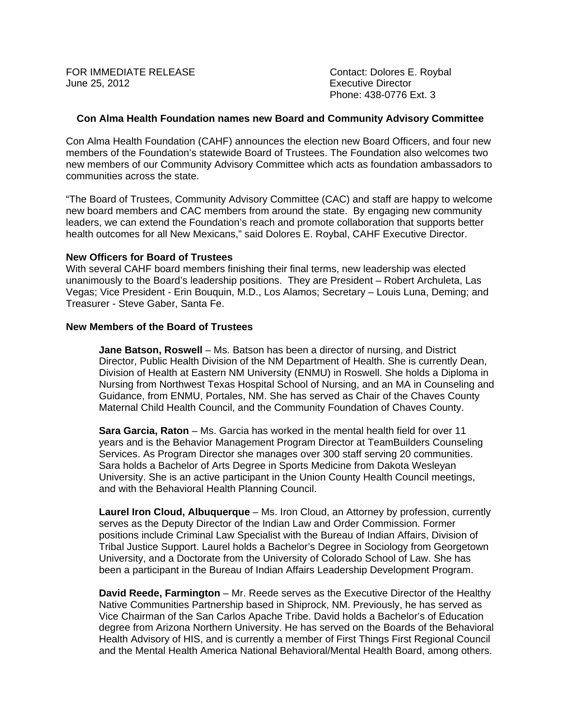FOR IMMEDIATE RELEASE **Contact: Dolores E. Roybal** June 25, 2012 Executive Director

Phone: 438-0776 Ext. 3

#### **Con Alma Health Foundation names new Board and Community Advisory Committee**

Con Alma Health Foundation (CAHF) announces the election new Board Officers, and four new members of the Foundation's statewide Board of Trustees. The Foundation also welcomes two new members of our Community Advisory Committee which acts as foundation ambassadors to communities across the state.

"The Board of Trustees, Community Advisory Committee (CAC) and staff are happy to welcome new board members and CAC members from around the state. By engaging new community leaders, we can extend the Foundation's reach and promote collaboration that supports better health outcomes for all New Mexicans," said Dolores E. Roybal, CAHF Executive Director.

### **New Officers for Board of Trustees**

With several CAHF board members finishing their final terms, new leadership was elected unanimously to the Board's leadership positions. They are President – Robert Archuleta, Las Vegas; Vice President - Erin Bouquin, M.D., Los Alamos; Secretary – Louis Luna, Deming; and Treasurer - Steve Gaber, Santa Fe.

#### **New Members of the Board of Trustees**

**Jane Batson, Roswell** – Ms. Batson has been a director of nursing, and District Director, Public Health Division of the NM Department of Health. She is currently Dean, Division of Health at Eastern NM University (ENMU) in Roswell. She holds a Diploma in Nursing from Northwest Texas Hospital School of Nursing, and an MA in Counseling and Guidance, from ENMU, Portales, NM. She has served as Chair of the Chaves County Maternal Child Health Council, and the Community Foundation of Chaves County.

**Sara Garcia, Raton** – Ms. Garcia has worked in the mental health field for over 11 years and is the Behavior Management Program Director at TeamBuilders Counseling Services. As Program Director she manages over 300 staff serving 20 communities. Sara holds a Bachelor of Arts Degree in Sports Medicine from Dakota Wesleyan University. She is an active participant in the Union County Health Council meetings, and with the Behavioral Health Planning Council.

**Laurel Iron Cloud, Albuquerque** – Ms. Iron Cloud, an Attorney by profession, currently serves as the Deputy Director of the Indian Law and Order Commission. Former positions include Criminal Law Specialist with the Bureau of Indian Affairs, Division of Tribal Justice Support. Laurel holds a Bachelor's Degree in Sociology from Georgetown University, and a Doctorate from the University of Colorado School of Law. She has been a participant in the Bureau of Indian Affairs Leadership Development Program.

**David Reede, Farmington** – Mr. Reede serves as the Executive Director of the Healthy Native Communities Partnership based in Shiprock, NM. Previously, he has served as Vice Chairman of the San Carlos Apache Tribe. David holds a Bachelor's of Education degree from Arizona Northern University. He has served on the Boards of the Behavioral Health Advisory of HIS, and is currently a member of First Things First Regional Council and the Mental Health America National Behavioral/Mental Health Board, among others.